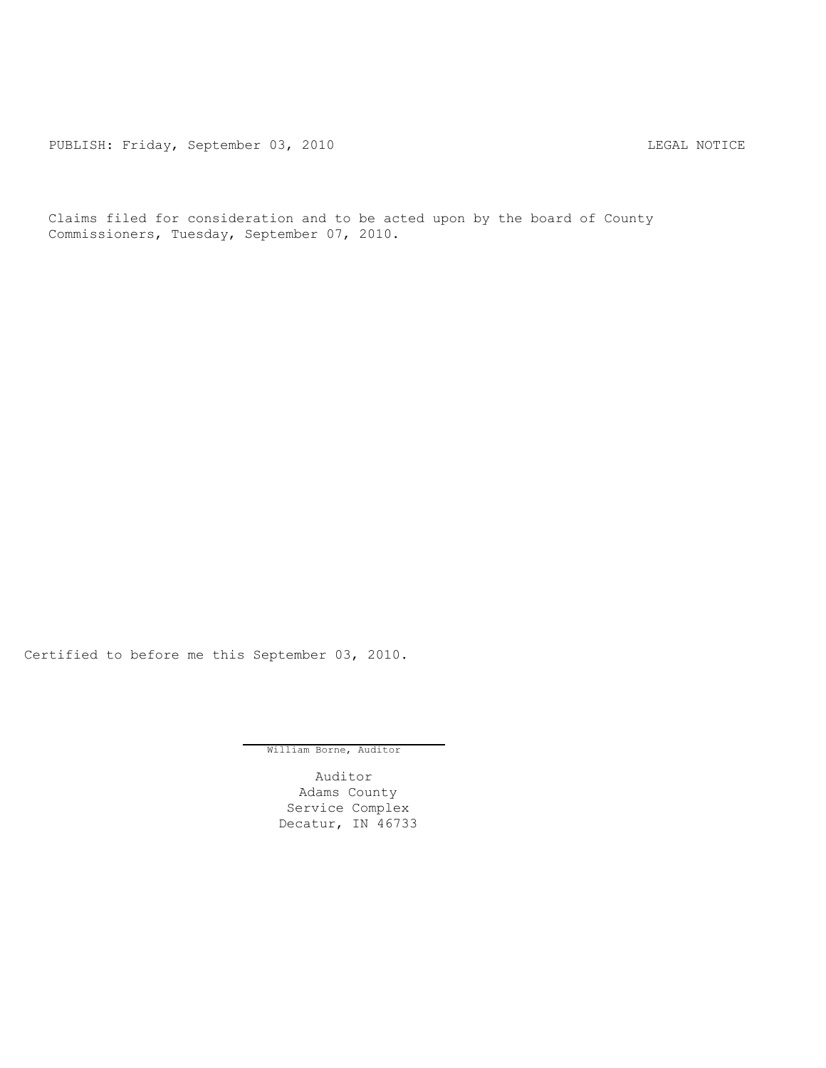PUBLISH: Friday, September 03, 2010 CHA CHANGE CONSTRUCTED LEGAL NOTICE

Claims filed for consideration and to be acted upon by the board of County Commissioners, Tuesday, September 07, 2010.

Certified to before me this September 03, 2010.

William Borne, Auditor

Auditor Adams County Service Complex Decatur, IN 46733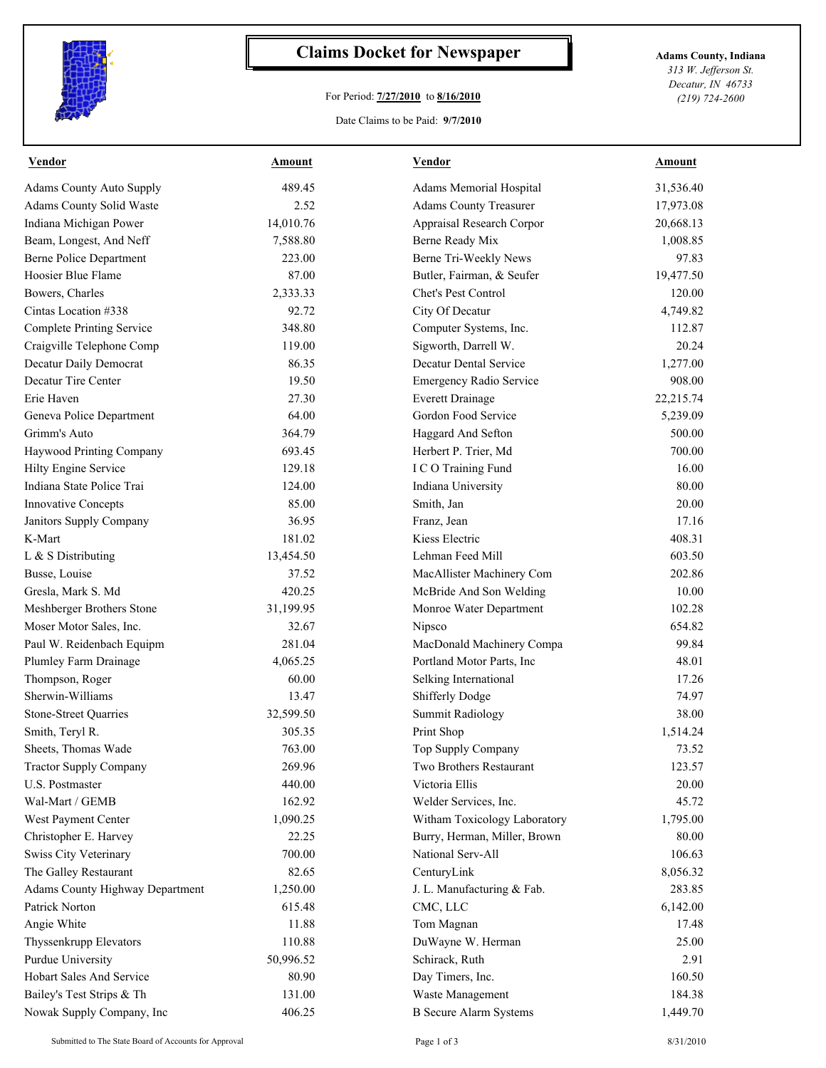

## **Claims Docket for Newspaper Adams County, Indiana**

## For Period: **7/27/2010** to **8/16/2010**

*313 W. Jefferson St. Decatur, IN 46733 (219) 724-2600*

## Date Claims to be Paid: **9/7/2010**

| <b>Vendor</b>                          | <b>Amount</b> | <b>Vendor</b>                  | <b>Amount</b> |
|----------------------------------------|---------------|--------------------------------|---------------|
| <b>Adams County Auto Supply</b>        | 489.45        | Adams Memorial Hospital        | 31,536.40     |
| Adams County Solid Waste               | 2.52          | <b>Adams County Treasurer</b>  | 17,973.08     |
| Indiana Michigan Power                 | 14,010.76     | Appraisal Research Corpor      | 20,668.13     |
| Beam, Longest, And Neff                | 7,588.80      | Berne Ready Mix                | 1,008.85      |
| <b>Berne Police Department</b>         | 223.00        | Berne Tri-Weekly News          | 97.83         |
| Hoosier Blue Flame                     | 87.00         | Butler, Fairman, & Seufer      | 19,477.50     |
| Bowers, Charles                        | 2,333.33      | Chet's Pest Control            | 120.00        |
| Cintas Location #338                   | 92.72         | City Of Decatur                | 4,749.82      |
| <b>Complete Printing Service</b>       | 348.80        | Computer Systems, Inc.         | 112.87        |
| Craigville Telephone Comp              | 119.00        | Sigworth, Darrell W.           | 20.24         |
| Decatur Daily Democrat                 | 86.35         | Decatur Dental Service         | 1,277.00      |
| Decatur Tire Center                    | 19.50         | <b>Emergency Radio Service</b> | 908.00        |
| Erie Haven                             | 27.30         | <b>Everett Drainage</b>        | 22,215.74     |
| Geneva Police Department               | 64.00         | Gordon Food Service            | 5,239.09      |
| Grimm's Auto                           | 364.79        | Haggard And Sefton             | 500.00        |
| Haywood Printing Company               | 693.45        | Herbert P. Trier, Md           | 700.00        |
| Hilty Engine Service                   | 129.18        | I C O Training Fund            | 16.00         |
| Indiana State Police Trai              | 124.00        | Indiana University             | 80.00         |
| <b>Innovative Concepts</b>             | 85.00         | Smith, Jan                     | 20.00         |
| Janitors Supply Company                | 36.95         | Franz, Jean                    | 17.16         |
| K-Mart                                 | 181.02        | Kiess Electric                 | 408.31        |
| L & S Distributing                     | 13,454.50     | Lehman Feed Mill               | 603.50        |
| Busse, Louise                          | 37.52         | MacAllister Machinery Com      | 202.86        |
| Gresla, Mark S. Md                     | 420.25        | McBride And Son Welding        | 10.00         |
| Meshberger Brothers Stone              | 31,199.95     | Monroe Water Department        | 102.28        |
| Moser Motor Sales, Inc.                | 32.67         | Nipsco                         | 654.82        |
| Paul W. Reidenbach Equipm              | 281.04        | MacDonald Machinery Compa      | 99.84         |
| Plumley Farm Drainage                  | 4,065.25      | Portland Motor Parts, Inc      | 48.01         |
| Thompson, Roger                        | 60.00         | Selking International          | 17.26         |
| Sherwin-Williams                       | 13.47         | Shifferly Dodge                | 74.97         |
| Stone-Street Quarries                  | 32,599.50     | <b>Summit Radiology</b>        | 38.00         |
| Smith, Teryl R.                        | 305.35        | Print Shop                     | 1,514.24      |
| Sheets, Thomas Wade                    | 763.00        | Top Supply Company             | 73.52         |
| <b>Tractor Supply Company</b>          | 269.96        | Two Brothers Restaurant        | 123.57        |
| U.S. Postmaster                        | 440.00        | Victoria Ellis                 | 20.00         |
| Wal-Mart / GEMB                        | 162.92        | Welder Services, Inc.          | 45.72         |
| West Payment Center                    | 1,090.25      | Witham Toxicology Laboratory   | 1,795.00      |
| Christopher E. Harvey                  | 22.25         | Burry, Herman, Miller, Brown   | 80.00         |
| <b>Swiss City Veterinary</b>           | 700.00        | National Serv-All              | 106.63        |
| The Galley Restaurant                  | 82.65         | CenturyLink                    | 8,056.32      |
| <b>Adams County Highway Department</b> | 1,250.00      | J. L. Manufacturing & Fab.     | 283.85        |
| Patrick Norton                         | 615.48        | CMC, LLC                       | 6,142.00      |
| Angie White                            | 11.88         | Tom Magnan                     | 17.48         |
| Thyssenkrupp Elevators                 | 110.88        | DuWayne W. Herman              | 25.00         |
| Purdue University                      | 50,996.52     | Schirack, Ruth                 | 2.91          |
| Hobart Sales And Service               | 80.90         | Day Timers, Inc.               | 160.50        |
| Bailey's Test Strips & Th              |               |                                |               |
|                                        | 131.00        | Waste Management               | 184.38        |
| Nowak Supply Company, Inc              | 406.25        | <b>B</b> Secure Alarm Systems  | 1,449.70      |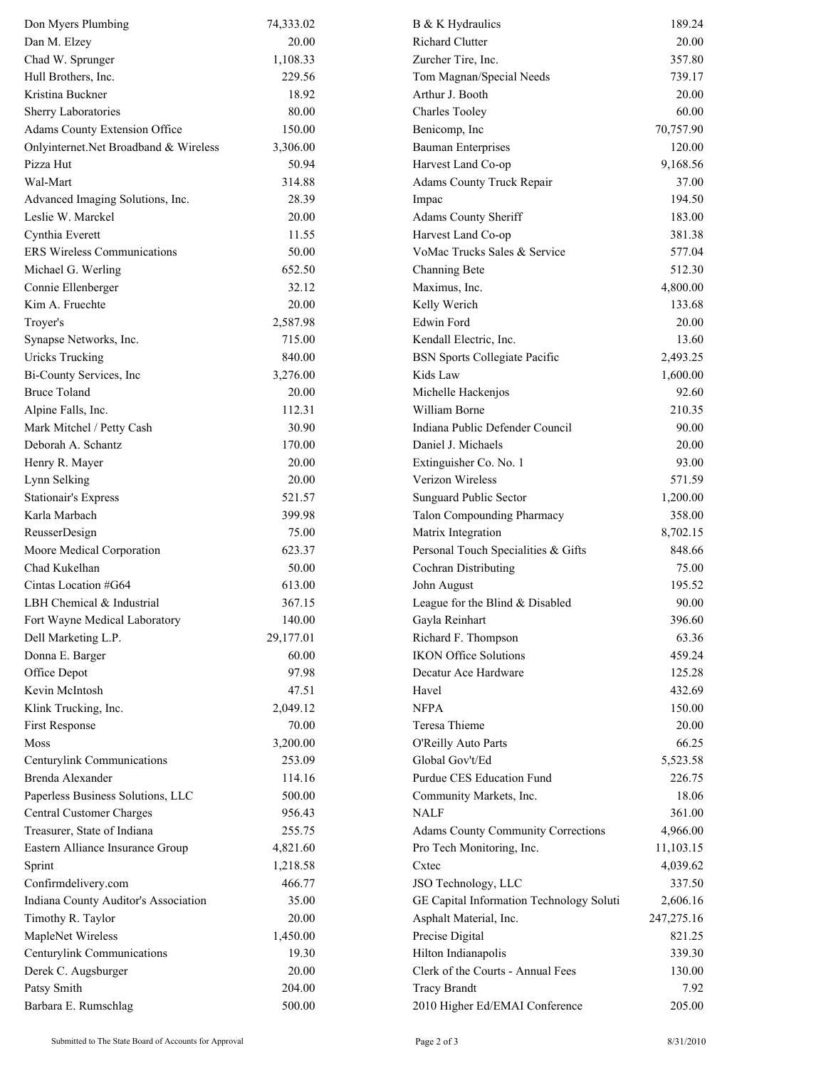| <b>Richard Clutter</b><br>20.00<br>20.00<br>1,108.33<br>Zurcher Tire, Inc.<br>357.80<br>229.56<br>Tom Magnan/Special Needs<br>739.17<br>18.92<br>20.00<br>Arthur J. Booth<br>60.00<br>80.00<br><b>Charles Tooley</b><br>70,757.90<br>Adams County Extension Office<br>150.00<br>Benicomp, Inc<br>120.00<br>3,306.00<br><b>Bauman Enterprises</b><br>9,168.56<br>50.94<br>Harvest Land Co-op<br>314.88<br>Adams County Truck Repair<br>37.00<br>28.39<br>194.50<br>Impac<br>183.00<br>20.00<br>Adams County Sheriff<br>381.38<br>11.55<br>Harvest Land Co-op<br>50.00<br>VoMac Trucks Sales & Service<br>577.04<br>652.50<br>512.30<br>Channing Bete<br>32.12<br>4,800.00<br>Maximus, Inc.<br>20.00<br>Kelly Werich<br>133.68<br>2,587.98<br>Edwin Ford<br>20.00<br>Troyer's<br>715.00<br>Synapse Networks, Inc.<br>Kendall Electric, Inc.<br>13.60<br>840.00<br><b>Uricks Trucking</b><br><b>BSN</b> Sports Collegiate Pacific<br>2,493.25<br>3,276.00<br>Kids Law<br>1,600.00<br>20.00<br>Michelle Hackenjos<br>92.60<br>William Borne<br>210.35<br>Alpine Falls, Inc.<br>112.31<br>Indiana Public Defender Council<br>90.00<br>Mark Mitchel / Petty Cash<br>30.90<br>Deborah A. Schantz<br>170.00<br>Daniel J. Michaels<br>20.00<br>Extinguisher Co. No. 1<br>Henry R. Mayer<br>20.00<br>93.00<br>Verizon Wireless<br>571.59<br>Lynn Selking<br>20.00<br>1,200.00<br><b>Stationair's Express</b><br>521.57<br>Sunguard Public Sector<br>399.98<br>358.00<br>Karla Marbach<br>Talon Compounding Pharmacy<br>8,702.15<br>ReusserDesign<br>75.00<br>Matrix Integration<br>848.66<br>Moore Medical Corporation<br>623.37<br>Personal Touch Specialities & Gifts<br>Chad Kukelhan<br>Cochran Distributing<br>50.00<br>75.00<br>613.00<br>195.52<br>Cintas Location #G64<br>John August<br>LBH Chemical & Industrial<br>367.15<br>League for the Blind & Disabled<br>90.00<br>140.00<br>396.60<br>Gayla Reinhart<br>Fort Wayne Medical Laboratory<br>Richard F. Thompson<br>Dell Marketing L.P.<br>29,177.01<br>63.36<br><b>IKON Office Solutions</b><br>459.24<br>Donna E. Barger<br>60.00<br>97.98<br>Office Depot<br>Decatur Ace Hardware<br>125.28<br>432.69<br>Kevin McIntosh<br>47.51<br>Havel<br>Klink Trucking, Inc.<br>2,049.12<br><b>NFPA</b><br>150.00<br>First Response<br>70.00<br>Teresa Thieme<br>20.00<br>3,200.00<br>O'Reilly Auto Parts<br>66.25<br>Moss<br>253.09<br>Global Gov't/Ed<br>Centurylink Communications<br>5,523.58<br>Brenda Alexander<br>Purdue CES Education Fund<br>114.16<br>226.75<br>Paperless Business Solutions, LLC<br>18.06<br>500.00<br>Community Markets, Inc.<br>Central Customer Charges<br>956.43<br><b>NALF</b><br>361.00<br>Treasurer, State of Indiana<br>255.75<br><b>Adams County Community Corrections</b><br>4,966.00<br>Eastern Alliance Insurance Group<br>Pro Tech Monitoring, Inc.<br>11,103.15<br>4,821.60<br>1,218.58<br>4,039.62<br>Cxtec<br>Sprint<br>Confirmdelivery.com<br>466.77<br>JSO Technology, LLC<br>337.50<br>Indiana County Auditor's Association<br>GE Capital Information Technology Soluti<br>35.00<br>2,606.16<br>Timothy R. Taylor<br>20.00<br>Asphalt Material, Inc.<br>247,275.16<br>MapleNet Wireless<br>1,450.00<br>Precise Digital<br>821.25<br>Centurylink Communications<br>19.30<br>Hilton Indianapolis<br>339.30<br>Derek C. Augsburger<br>20.00<br>Clerk of the Courts - Annual Fees<br>130.00<br>Patsy Smith<br>204.00<br><b>Tracy Brandt</b><br>7.92<br>2010 Higher Ed/EMAI Conference<br>500.00<br>205.00 | Don Myers Plumbing                    | 74,333.02 | B & K Hydraulics | 189.24 |
|-------------------------------------------------------------------------------------------------------------------------------------------------------------------------------------------------------------------------------------------------------------------------------------------------------------------------------------------------------------------------------------------------------------------------------------------------------------------------------------------------------------------------------------------------------------------------------------------------------------------------------------------------------------------------------------------------------------------------------------------------------------------------------------------------------------------------------------------------------------------------------------------------------------------------------------------------------------------------------------------------------------------------------------------------------------------------------------------------------------------------------------------------------------------------------------------------------------------------------------------------------------------------------------------------------------------------------------------------------------------------------------------------------------------------------------------------------------------------------------------------------------------------------------------------------------------------------------------------------------------------------------------------------------------------------------------------------------------------------------------------------------------------------------------------------------------------------------------------------------------------------------------------------------------------------------------------------------------------------------------------------------------------------------------------------------------------------------------------------------------------------------------------------------------------------------------------------------------------------------------------------------------------------------------------------------------------------------------------------------------------------------------------------------------------------------------------------------------------------------------------------------------------------------------------------------------------------------------------------------------------------------------------------------------------------------------------------------------------------------------------------------------------------------------------------------------------------------------------------------------------------------------------------------------------------------------------------------------------------------------------------------------------------------------------------------------------------------------------------------------------------------------------------------------------------------------------------------------------------------------------------------------------------------------------------------------------------------------------------------------------------------------------------------------------------------------------------------------------------------------------|---------------------------------------|-----------|------------------|--------|
|                                                                                                                                                                                                                                                                                                                                                                                                                                                                                                                                                                                                                                                                                                                                                                                                                                                                                                                                                                                                                                                                                                                                                                                                                                                                                                                                                                                                                                                                                                                                                                                                                                                                                                                                                                                                                                                                                                                                                                                                                                                                                                                                                                                                                                                                                                                                                                                                                                                                                                                                                                                                                                                                                                                                                                                                                                                                                                                                                                                                                                                                                                                                                                                                                                                                                                                                                                                                                                                                                                 | Dan M. Elzey                          |           |                  |        |
|                                                                                                                                                                                                                                                                                                                                                                                                                                                                                                                                                                                                                                                                                                                                                                                                                                                                                                                                                                                                                                                                                                                                                                                                                                                                                                                                                                                                                                                                                                                                                                                                                                                                                                                                                                                                                                                                                                                                                                                                                                                                                                                                                                                                                                                                                                                                                                                                                                                                                                                                                                                                                                                                                                                                                                                                                                                                                                                                                                                                                                                                                                                                                                                                                                                                                                                                                                                                                                                                                                 | Chad W. Sprunger                      |           |                  |        |
|                                                                                                                                                                                                                                                                                                                                                                                                                                                                                                                                                                                                                                                                                                                                                                                                                                                                                                                                                                                                                                                                                                                                                                                                                                                                                                                                                                                                                                                                                                                                                                                                                                                                                                                                                                                                                                                                                                                                                                                                                                                                                                                                                                                                                                                                                                                                                                                                                                                                                                                                                                                                                                                                                                                                                                                                                                                                                                                                                                                                                                                                                                                                                                                                                                                                                                                                                                                                                                                                                                 | Hull Brothers, Inc.                   |           |                  |        |
|                                                                                                                                                                                                                                                                                                                                                                                                                                                                                                                                                                                                                                                                                                                                                                                                                                                                                                                                                                                                                                                                                                                                                                                                                                                                                                                                                                                                                                                                                                                                                                                                                                                                                                                                                                                                                                                                                                                                                                                                                                                                                                                                                                                                                                                                                                                                                                                                                                                                                                                                                                                                                                                                                                                                                                                                                                                                                                                                                                                                                                                                                                                                                                                                                                                                                                                                                                                                                                                                                                 | Kristina Buckner                      |           |                  |        |
|                                                                                                                                                                                                                                                                                                                                                                                                                                                                                                                                                                                                                                                                                                                                                                                                                                                                                                                                                                                                                                                                                                                                                                                                                                                                                                                                                                                                                                                                                                                                                                                                                                                                                                                                                                                                                                                                                                                                                                                                                                                                                                                                                                                                                                                                                                                                                                                                                                                                                                                                                                                                                                                                                                                                                                                                                                                                                                                                                                                                                                                                                                                                                                                                                                                                                                                                                                                                                                                                                                 | Sherry Laboratories                   |           |                  |        |
|                                                                                                                                                                                                                                                                                                                                                                                                                                                                                                                                                                                                                                                                                                                                                                                                                                                                                                                                                                                                                                                                                                                                                                                                                                                                                                                                                                                                                                                                                                                                                                                                                                                                                                                                                                                                                                                                                                                                                                                                                                                                                                                                                                                                                                                                                                                                                                                                                                                                                                                                                                                                                                                                                                                                                                                                                                                                                                                                                                                                                                                                                                                                                                                                                                                                                                                                                                                                                                                                                                 |                                       |           |                  |        |
|                                                                                                                                                                                                                                                                                                                                                                                                                                                                                                                                                                                                                                                                                                                                                                                                                                                                                                                                                                                                                                                                                                                                                                                                                                                                                                                                                                                                                                                                                                                                                                                                                                                                                                                                                                                                                                                                                                                                                                                                                                                                                                                                                                                                                                                                                                                                                                                                                                                                                                                                                                                                                                                                                                                                                                                                                                                                                                                                                                                                                                                                                                                                                                                                                                                                                                                                                                                                                                                                                                 | Onlyinternet.Net Broadband & Wireless |           |                  |        |
|                                                                                                                                                                                                                                                                                                                                                                                                                                                                                                                                                                                                                                                                                                                                                                                                                                                                                                                                                                                                                                                                                                                                                                                                                                                                                                                                                                                                                                                                                                                                                                                                                                                                                                                                                                                                                                                                                                                                                                                                                                                                                                                                                                                                                                                                                                                                                                                                                                                                                                                                                                                                                                                                                                                                                                                                                                                                                                                                                                                                                                                                                                                                                                                                                                                                                                                                                                                                                                                                                                 | Pizza Hut                             |           |                  |        |
|                                                                                                                                                                                                                                                                                                                                                                                                                                                                                                                                                                                                                                                                                                                                                                                                                                                                                                                                                                                                                                                                                                                                                                                                                                                                                                                                                                                                                                                                                                                                                                                                                                                                                                                                                                                                                                                                                                                                                                                                                                                                                                                                                                                                                                                                                                                                                                                                                                                                                                                                                                                                                                                                                                                                                                                                                                                                                                                                                                                                                                                                                                                                                                                                                                                                                                                                                                                                                                                                                                 | Wal-Mart                              |           |                  |        |
|                                                                                                                                                                                                                                                                                                                                                                                                                                                                                                                                                                                                                                                                                                                                                                                                                                                                                                                                                                                                                                                                                                                                                                                                                                                                                                                                                                                                                                                                                                                                                                                                                                                                                                                                                                                                                                                                                                                                                                                                                                                                                                                                                                                                                                                                                                                                                                                                                                                                                                                                                                                                                                                                                                                                                                                                                                                                                                                                                                                                                                                                                                                                                                                                                                                                                                                                                                                                                                                                                                 | Advanced Imaging Solutions, Inc.      |           |                  |        |
|                                                                                                                                                                                                                                                                                                                                                                                                                                                                                                                                                                                                                                                                                                                                                                                                                                                                                                                                                                                                                                                                                                                                                                                                                                                                                                                                                                                                                                                                                                                                                                                                                                                                                                                                                                                                                                                                                                                                                                                                                                                                                                                                                                                                                                                                                                                                                                                                                                                                                                                                                                                                                                                                                                                                                                                                                                                                                                                                                                                                                                                                                                                                                                                                                                                                                                                                                                                                                                                                                                 | Leslie W. Marckel                     |           |                  |        |
|                                                                                                                                                                                                                                                                                                                                                                                                                                                                                                                                                                                                                                                                                                                                                                                                                                                                                                                                                                                                                                                                                                                                                                                                                                                                                                                                                                                                                                                                                                                                                                                                                                                                                                                                                                                                                                                                                                                                                                                                                                                                                                                                                                                                                                                                                                                                                                                                                                                                                                                                                                                                                                                                                                                                                                                                                                                                                                                                                                                                                                                                                                                                                                                                                                                                                                                                                                                                                                                                                                 | Cynthia Everett                       |           |                  |        |
|                                                                                                                                                                                                                                                                                                                                                                                                                                                                                                                                                                                                                                                                                                                                                                                                                                                                                                                                                                                                                                                                                                                                                                                                                                                                                                                                                                                                                                                                                                                                                                                                                                                                                                                                                                                                                                                                                                                                                                                                                                                                                                                                                                                                                                                                                                                                                                                                                                                                                                                                                                                                                                                                                                                                                                                                                                                                                                                                                                                                                                                                                                                                                                                                                                                                                                                                                                                                                                                                                                 | ERS Wireless Communications           |           |                  |        |
|                                                                                                                                                                                                                                                                                                                                                                                                                                                                                                                                                                                                                                                                                                                                                                                                                                                                                                                                                                                                                                                                                                                                                                                                                                                                                                                                                                                                                                                                                                                                                                                                                                                                                                                                                                                                                                                                                                                                                                                                                                                                                                                                                                                                                                                                                                                                                                                                                                                                                                                                                                                                                                                                                                                                                                                                                                                                                                                                                                                                                                                                                                                                                                                                                                                                                                                                                                                                                                                                                                 | Michael G. Werling                    |           |                  |        |
|                                                                                                                                                                                                                                                                                                                                                                                                                                                                                                                                                                                                                                                                                                                                                                                                                                                                                                                                                                                                                                                                                                                                                                                                                                                                                                                                                                                                                                                                                                                                                                                                                                                                                                                                                                                                                                                                                                                                                                                                                                                                                                                                                                                                                                                                                                                                                                                                                                                                                                                                                                                                                                                                                                                                                                                                                                                                                                                                                                                                                                                                                                                                                                                                                                                                                                                                                                                                                                                                                                 | Connie Ellenberger                    |           |                  |        |
|                                                                                                                                                                                                                                                                                                                                                                                                                                                                                                                                                                                                                                                                                                                                                                                                                                                                                                                                                                                                                                                                                                                                                                                                                                                                                                                                                                                                                                                                                                                                                                                                                                                                                                                                                                                                                                                                                                                                                                                                                                                                                                                                                                                                                                                                                                                                                                                                                                                                                                                                                                                                                                                                                                                                                                                                                                                                                                                                                                                                                                                                                                                                                                                                                                                                                                                                                                                                                                                                                                 | Kim A. Fruechte                       |           |                  |        |
|                                                                                                                                                                                                                                                                                                                                                                                                                                                                                                                                                                                                                                                                                                                                                                                                                                                                                                                                                                                                                                                                                                                                                                                                                                                                                                                                                                                                                                                                                                                                                                                                                                                                                                                                                                                                                                                                                                                                                                                                                                                                                                                                                                                                                                                                                                                                                                                                                                                                                                                                                                                                                                                                                                                                                                                                                                                                                                                                                                                                                                                                                                                                                                                                                                                                                                                                                                                                                                                                                                 |                                       |           |                  |        |
|                                                                                                                                                                                                                                                                                                                                                                                                                                                                                                                                                                                                                                                                                                                                                                                                                                                                                                                                                                                                                                                                                                                                                                                                                                                                                                                                                                                                                                                                                                                                                                                                                                                                                                                                                                                                                                                                                                                                                                                                                                                                                                                                                                                                                                                                                                                                                                                                                                                                                                                                                                                                                                                                                                                                                                                                                                                                                                                                                                                                                                                                                                                                                                                                                                                                                                                                                                                                                                                                                                 |                                       |           |                  |        |
|                                                                                                                                                                                                                                                                                                                                                                                                                                                                                                                                                                                                                                                                                                                                                                                                                                                                                                                                                                                                                                                                                                                                                                                                                                                                                                                                                                                                                                                                                                                                                                                                                                                                                                                                                                                                                                                                                                                                                                                                                                                                                                                                                                                                                                                                                                                                                                                                                                                                                                                                                                                                                                                                                                                                                                                                                                                                                                                                                                                                                                                                                                                                                                                                                                                                                                                                                                                                                                                                                                 |                                       |           |                  |        |
|                                                                                                                                                                                                                                                                                                                                                                                                                                                                                                                                                                                                                                                                                                                                                                                                                                                                                                                                                                                                                                                                                                                                                                                                                                                                                                                                                                                                                                                                                                                                                                                                                                                                                                                                                                                                                                                                                                                                                                                                                                                                                                                                                                                                                                                                                                                                                                                                                                                                                                                                                                                                                                                                                                                                                                                                                                                                                                                                                                                                                                                                                                                                                                                                                                                                                                                                                                                                                                                                                                 | Bi-County Services, Inc               |           |                  |        |
|                                                                                                                                                                                                                                                                                                                                                                                                                                                                                                                                                                                                                                                                                                                                                                                                                                                                                                                                                                                                                                                                                                                                                                                                                                                                                                                                                                                                                                                                                                                                                                                                                                                                                                                                                                                                                                                                                                                                                                                                                                                                                                                                                                                                                                                                                                                                                                                                                                                                                                                                                                                                                                                                                                                                                                                                                                                                                                                                                                                                                                                                                                                                                                                                                                                                                                                                                                                                                                                                                                 | <b>Bruce Toland</b>                   |           |                  |        |
|                                                                                                                                                                                                                                                                                                                                                                                                                                                                                                                                                                                                                                                                                                                                                                                                                                                                                                                                                                                                                                                                                                                                                                                                                                                                                                                                                                                                                                                                                                                                                                                                                                                                                                                                                                                                                                                                                                                                                                                                                                                                                                                                                                                                                                                                                                                                                                                                                                                                                                                                                                                                                                                                                                                                                                                                                                                                                                                                                                                                                                                                                                                                                                                                                                                                                                                                                                                                                                                                                                 |                                       |           |                  |        |
|                                                                                                                                                                                                                                                                                                                                                                                                                                                                                                                                                                                                                                                                                                                                                                                                                                                                                                                                                                                                                                                                                                                                                                                                                                                                                                                                                                                                                                                                                                                                                                                                                                                                                                                                                                                                                                                                                                                                                                                                                                                                                                                                                                                                                                                                                                                                                                                                                                                                                                                                                                                                                                                                                                                                                                                                                                                                                                                                                                                                                                                                                                                                                                                                                                                                                                                                                                                                                                                                                                 |                                       |           |                  |        |
|                                                                                                                                                                                                                                                                                                                                                                                                                                                                                                                                                                                                                                                                                                                                                                                                                                                                                                                                                                                                                                                                                                                                                                                                                                                                                                                                                                                                                                                                                                                                                                                                                                                                                                                                                                                                                                                                                                                                                                                                                                                                                                                                                                                                                                                                                                                                                                                                                                                                                                                                                                                                                                                                                                                                                                                                                                                                                                                                                                                                                                                                                                                                                                                                                                                                                                                                                                                                                                                                                                 |                                       |           |                  |        |
|                                                                                                                                                                                                                                                                                                                                                                                                                                                                                                                                                                                                                                                                                                                                                                                                                                                                                                                                                                                                                                                                                                                                                                                                                                                                                                                                                                                                                                                                                                                                                                                                                                                                                                                                                                                                                                                                                                                                                                                                                                                                                                                                                                                                                                                                                                                                                                                                                                                                                                                                                                                                                                                                                                                                                                                                                                                                                                                                                                                                                                                                                                                                                                                                                                                                                                                                                                                                                                                                                                 |                                       |           |                  |        |
|                                                                                                                                                                                                                                                                                                                                                                                                                                                                                                                                                                                                                                                                                                                                                                                                                                                                                                                                                                                                                                                                                                                                                                                                                                                                                                                                                                                                                                                                                                                                                                                                                                                                                                                                                                                                                                                                                                                                                                                                                                                                                                                                                                                                                                                                                                                                                                                                                                                                                                                                                                                                                                                                                                                                                                                                                                                                                                                                                                                                                                                                                                                                                                                                                                                                                                                                                                                                                                                                                                 |                                       |           |                  |        |
|                                                                                                                                                                                                                                                                                                                                                                                                                                                                                                                                                                                                                                                                                                                                                                                                                                                                                                                                                                                                                                                                                                                                                                                                                                                                                                                                                                                                                                                                                                                                                                                                                                                                                                                                                                                                                                                                                                                                                                                                                                                                                                                                                                                                                                                                                                                                                                                                                                                                                                                                                                                                                                                                                                                                                                                                                                                                                                                                                                                                                                                                                                                                                                                                                                                                                                                                                                                                                                                                                                 |                                       |           |                  |        |
|                                                                                                                                                                                                                                                                                                                                                                                                                                                                                                                                                                                                                                                                                                                                                                                                                                                                                                                                                                                                                                                                                                                                                                                                                                                                                                                                                                                                                                                                                                                                                                                                                                                                                                                                                                                                                                                                                                                                                                                                                                                                                                                                                                                                                                                                                                                                                                                                                                                                                                                                                                                                                                                                                                                                                                                                                                                                                                                                                                                                                                                                                                                                                                                                                                                                                                                                                                                                                                                                                                 |                                       |           |                  |        |
|                                                                                                                                                                                                                                                                                                                                                                                                                                                                                                                                                                                                                                                                                                                                                                                                                                                                                                                                                                                                                                                                                                                                                                                                                                                                                                                                                                                                                                                                                                                                                                                                                                                                                                                                                                                                                                                                                                                                                                                                                                                                                                                                                                                                                                                                                                                                                                                                                                                                                                                                                                                                                                                                                                                                                                                                                                                                                                                                                                                                                                                                                                                                                                                                                                                                                                                                                                                                                                                                                                 |                                       |           |                  |        |
|                                                                                                                                                                                                                                                                                                                                                                                                                                                                                                                                                                                                                                                                                                                                                                                                                                                                                                                                                                                                                                                                                                                                                                                                                                                                                                                                                                                                                                                                                                                                                                                                                                                                                                                                                                                                                                                                                                                                                                                                                                                                                                                                                                                                                                                                                                                                                                                                                                                                                                                                                                                                                                                                                                                                                                                                                                                                                                                                                                                                                                                                                                                                                                                                                                                                                                                                                                                                                                                                                                 |                                       |           |                  |        |
|                                                                                                                                                                                                                                                                                                                                                                                                                                                                                                                                                                                                                                                                                                                                                                                                                                                                                                                                                                                                                                                                                                                                                                                                                                                                                                                                                                                                                                                                                                                                                                                                                                                                                                                                                                                                                                                                                                                                                                                                                                                                                                                                                                                                                                                                                                                                                                                                                                                                                                                                                                                                                                                                                                                                                                                                                                                                                                                                                                                                                                                                                                                                                                                                                                                                                                                                                                                                                                                                                                 |                                       |           |                  |        |
|                                                                                                                                                                                                                                                                                                                                                                                                                                                                                                                                                                                                                                                                                                                                                                                                                                                                                                                                                                                                                                                                                                                                                                                                                                                                                                                                                                                                                                                                                                                                                                                                                                                                                                                                                                                                                                                                                                                                                                                                                                                                                                                                                                                                                                                                                                                                                                                                                                                                                                                                                                                                                                                                                                                                                                                                                                                                                                                                                                                                                                                                                                                                                                                                                                                                                                                                                                                                                                                                                                 |                                       |           |                  |        |
|                                                                                                                                                                                                                                                                                                                                                                                                                                                                                                                                                                                                                                                                                                                                                                                                                                                                                                                                                                                                                                                                                                                                                                                                                                                                                                                                                                                                                                                                                                                                                                                                                                                                                                                                                                                                                                                                                                                                                                                                                                                                                                                                                                                                                                                                                                                                                                                                                                                                                                                                                                                                                                                                                                                                                                                                                                                                                                                                                                                                                                                                                                                                                                                                                                                                                                                                                                                                                                                                                                 |                                       |           |                  |        |
|                                                                                                                                                                                                                                                                                                                                                                                                                                                                                                                                                                                                                                                                                                                                                                                                                                                                                                                                                                                                                                                                                                                                                                                                                                                                                                                                                                                                                                                                                                                                                                                                                                                                                                                                                                                                                                                                                                                                                                                                                                                                                                                                                                                                                                                                                                                                                                                                                                                                                                                                                                                                                                                                                                                                                                                                                                                                                                                                                                                                                                                                                                                                                                                                                                                                                                                                                                                                                                                                                                 |                                       |           |                  |        |
|                                                                                                                                                                                                                                                                                                                                                                                                                                                                                                                                                                                                                                                                                                                                                                                                                                                                                                                                                                                                                                                                                                                                                                                                                                                                                                                                                                                                                                                                                                                                                                                                                                                                                                                                                                                                                                                                                                                                                                                                                                                                                                                                                                                                                                                                                                                                                                                                                                                                                                                                                                                                                                                                                                                                                                                                                                                                                                                                                                                                                                                                                                                                                                                                                                                                                                                                                                                                                                                                                                 |                                       |           |                  |        |
|                                                                                                                                                                                                                                                                                                                                                                                                                                                                                                                                                                                                                                                                                                                                                                                                                                                                                                                                                                                                                                                                                                                                                                                                                                                                                                                                                                                                                                                                                                                                                                                                                                                                                                                                                                                                                                                                                                                                                                                                                                                                                                                                                                                                                                                                                                                                                                                                                                                                                                                                                                                                                                                                                                                                                                                                                                                                                                                                                                                                                                                                                                                                                                                                                                                                                                                                                                                                                                                                                                 |                                       |           |                  |        |
|                                                                                                                                                                                                                                                                                                                                                                                                                                                                                                                                                                                                                                                                                                                                                                                                                                                                                                                                                                                                                                                                                                                                                                                                                                                                                                                                                                                                                                                                                                                                                                                                                                                                                                                                                                                                                                                                                                                                                                                                                                                                                                                                                                                                                                                                                                                                                                                                                                                                                                                                                                                                                                                                                                                                                                                                                                                                                                                                                                                                                                                                                                                                                                                                                                                                                                                                                                                                                                                                                                 |                                       |           |                  |        |
|                                                                                                                                                                                                                                                                                                                                                                                                                                                                                                                                                                                                                                                                                                                                                                                                                                                                                                                                                                                                                                                                                                                                                                                                                                                                                                                                                                                                                                                                                                                                                                                                                                                                                                                                                                                                                                                                                                                                                                                                                                                                                                                                                                                                                                                                                                                                                                                                                                                                                                                                                                                                                                                                                                                                                                                                                                                                                                                                                                                                                                                                                                                                                                                                                                                                                                                                                                                                                                                                                                 |                                       |           |                  |        |
|                                                                                                                                                                                                                                                                                                                                                                                                                                                                                                                                                                                                                                                                                                                                                                                                                                                                                                                                                                                                                                                                                                                                                                                                                                                                                                                                                                                                                                                                                                                                                                                                                                                                                                                                                                                                                                                                                                                                                                                                                                                                                                                                                                                                                                                                                                                                                                                                                                                                                                                                                                                                                                                                                                                                                                                                                                                                                                                                                                                                                                                                                                                                                                                                                                                                                                                                                                                                                                                                                                 |                                       |           |                  |        |
|                                                                                                                                                                                                                                                                                                                                                                                                                                                                                                                                                                                                                                                                                                                                                                                                                                                                                                                                                                                                                                                                                                                                                                                                                                                                                                                                                                                                                                                                                                                                                                                                                                                                                                                                                                                                                                                                                                                                                                                                                                                                                                                                                                                                                                                                                                                                                                                                                                                                                                                                                                                                                                                                                                                                                                                                                                                                                                                                                                                                                                                                                                                                                                                                                                                                                                                                                                                                                                                                                                 |                                       |           |                  |        |
|                                                                                                                                                                                                                                                                                                                                                                                                                                                                                                                                                                                                                                                                                                                                                                                                                                                                                                                                                                                                                                                                                                                                                                                                                                                                                                                                                                                                                                                                                                                                                                                                                                                                                                                                                                                                                                                                                                                                                                                                                                                                                                                                                                                                                                                                                                                                                                                                                                                                                                                                                                                                                                                                                                                                                                                                                                                                                                                                                                                                                                                                                                                                                                                                                                                                                                                                                                                                                                                                                                 |                                       |           |                  |        |
|                                                                                                                                                                                                                                                                                                                                                                                                                                                                                                                                                                                                                                                                                                                                                                                                                                                                                                                                                                                                                                                                                                                                                                                                                                                                                                                                                                                                                                                                                                                                                                                                                                                                                                                                                                                                                                                                                                                                                                                                                                                                                                                                                                                                                                                                                                                                                                                                                                                                                                                                                                                                                                                                                                                                                                                                                                                                                                                                                                                                                                                                                                                                                                                                                                                                                                                                                                                                                                                                                                 |                                       |           |                  |        |
|                                                                                                                                                                                                                                                                                                                                                                                                                                                                                                                                                                                                                                                                                                                                                                                                                                                                                                                                                                                                                                                                                                                                                                                                                                                                                                                                                                                                                                                                                                                                                                                                                                                                                                                                                                                                                                                                                                                                                                                                                                                                                                                                                                                                                                                                                                                                                                                                                                                                                                                                                                                                                                                                                                                                                                                                                                                                                                                                                                                                                                                                                                                                                                                                                                                                                                                                                                                                                                                                                                 |                                       |           |                  |        |
|                                                                                                                                                                                                                                                                                                                                                                                                                                                                                                                                                                                                                                                                                                                                                                                                                                                                                                                                                                                                                                                                                                                                                                                                                                                                                                                                                                                                                                                                                                                                                                                                                                                                                                                                                                                                                                                                                                                                                                                                                                                                                                                                                                                                                                                                                                                                                                                                                                                                                                                                                                                                                                                                                                                                                                                                                                                                                                                                                                                                                                                                                                                                                                                                                                                                                                                                                                                                                                                                                                 |                                       |           |                  |        |
|                                                                                                                                                                                                                                                                                                                                                                                                                                                                                                                                                                                                                                                                                                                                                                                                                                                                                                                                                                                                                                                                                                                                                                                                                                                                                                                                                                                                                                                                                                                                                                                                                                                                                                                                                                                                                                                                                                                                                                                                                                                                                                                                                                                                                                                                                                                                                                                                                                                                                                                                                                                                                                                                                                                                                                                                                                                                                                                                                                                                                                                                                                                                                                                                                                                                                                                                                                                                                                                                                                 |                                       |           |                  |        |
|                                                                                                                                                                                                                                                                                                                                                                                                                                                                                                                                                                                                                                                                                                                                                                                                                                                                                                                                                                                                                                                                                                                                                                                                                                                                                                                                                                                                                                                                                                                                                                                                                                                                                                                                                                                                                                                                                                                                                                                                                                                                                                                                                                                                                                                                                                                                                                                                                                                                                                                                                                                                                                                                                                                                                                                                                                                                                                                                                                                                                                                                                                                                                                                                                                                                                                                                                                                                                                                                                                 |                                       |           |                  |        |
|                                                                                                                                                                                                                                                                                                                                                                                                                                                                                                                                                                                                                                                                                                                                                                                                                                                                                                                                                                                                                                                                                                                                                                                                                                                                                                                                                                                                                                                                                                                                                                                                                                                                                                                                                                                                                                                                                                                                                                                                                                                                                                                                                                                                                                                                                                                                                                                                                                                                                                                                                                                                                                                                                                                                                                                                                                                                                                                                                                                                                                                                                                                                                                                                                                                                                                                                                                                                                                                                                                 |                                       |           |                  |        |
|                                                                                                                                                                                                                                                                                                                                                                                                                                                                                                                                                                                                                                                                                                                                                                                                                                                                                                                                                                                                                                                                                                                                                                                                                                                                                                                                                                                                                                                                                                                                                                                                                                                                                                                                                                                                                                                                                                                                                                                                                                                                                                                                                                                                                                                                                                                                                                                                                                                                                                                                                                                                                                                                                                                                                                                                                                                                                                                                                                                                                                                                                                                                                                                                                                                                                                                                                                                                                                                                                                 |                                       |           |                  |        |
|                                                                                                                                                                                                                                                                                                                                                                                                                                                                                                                                                                                                                                                                                                                                                                                                                                                                                                                                                                                                                                                                                                                                                                                                                                                                                                                                                                                                                                                                                                                                                                                                                                                                                                                                                                                                                                                                                                                                                                                                                                                                                                                                                                                                                                                                                                                                                                                                                                                                                                                                                                                                                                                                                                                                                                                                                                                                                                                                                                                                                                                                                                                                                                                                                                                                                                                                                                                                                                                                                                 |                                       |           |                  |        |
|                                                                                                                                                                                                                                                                                                                                                                                                                                                                                                                                                                                                                                                                                                                                                                                                                                                                                                                                                                                                                                                                                                                                                                                                                                                                                                                                                                                                                                                                                                                                                                                                                                                                                                                                                                                                                                                                                                                                                                                                                                                                                                                                                                                                                                                                                                                                                                                                                                                                                                                                                                                                                                                                                                                                                                                                                                                                                                                                                                                                                                                                                                                                                                                                                                                                                                                                                                                                                                                                                                 |                                       |           |                  |        |
|                                                                                                                                                                                                                                                                                                                                                                                                                                                                                                                                                                                                                                                                                                                                                                                                                                                                                                                                                                                                                                                                                                                                                                                                                                                                                                                                                                                                                                                                                                                                                                                                                                                                                                                                                                                                                                                                                                                                                                                                                                                                                                                                                                                                                                                                                                                                                                                                                                                                                                                                                                                                                                                                                                                                                                                                                                                                                                                                                                                                                                                                                                                                                                                                                                                                                                                                                                                                                                                                                                 |                                       |           |                  |        |
|                                                                                                                                                                                                                                                                                                                                                                                                                                                                                                                                                                                                                                                                                                                                                                                                                                                                                                                                                                                                                                                                                                                                                                                                                                                                                                                                                                                                                                                                                                                                                                                                                                                                                                                                                                                                                                                                                                                                                                                                                                                                                                                                                                                                                                                                                                                                                                                                                                                                                                                                                                                                                                                                                                                                                                                                                                                                                                                                                                                                                                                                                                                                                                                                                                                                                                                                                                                                                                                                                                 |                                       |           |                  |        |
|                                                                                                                                                                                                                                                                                                                                                                                                                                                                                                                                                                                                                                                                                                                                                                                                                                                                                                                                                                                                                                                                                                                                                                                                                                                                                                                                                                                                                                                                                                                                                                                                                                                                                                                                                                                                                                                                                                                                                                                                                                                                                                                                                                                                                                                                                                                                                                                                                                                                                                                                                                                                                                                                                                                                                                                                                                                                                                                                                                                                                                                                                                                                                                                                                                                                                                                                                                                                                                                                                                 |                                       |           |                  |        |
|                                                                                                                                                                                                                                                                                                                                                                                                                                                                                                                                                                                                                                                                                                                                                                                                                                                                                                                                                                                                                                                                                                                                                                                                                                                                                                                                                                                                                                                                                                                                                                                                                                                                                                                                                                                                                                                                                                                                                                                                                                                                                                                                                                                                                                                                                                                                                                                                                                                                                                                                                                                                                                                                                                                                                                                                                                                                                                                                                                                                                                                                                                                                                                                                                                                                                                                                                                                                                                                                                                 |                                       |           |                  |        |
|                                                                                                                                                                                                                                                                                                                                                                                                                                                                                                                                                                                                                                                                                                                                                                                                                                                                                                                                                                                                                                                                                                                                                                                                                                                                                                                                                                                                                                                                                                                                                                                                                                                                                                                                                                                                                                                                                                                                                                                                                                                                                                                                                                                                                                                                                                                                                                                                                                                                                                                                                                                                                                                                                                                                                                                                                                                                                                                                                                                                                                                                                                                                                                                                                                                                                                                                                                                                                                                                                                 |                                       |           |                  |        |
|                                                                                                                                                                                                                                                                                                                                                                                                                                                                                                                                                                                                                                                                                                                                                                                                                                                                                                                                                                                                                                                                                                                                                                                                                                                                                                                                                                                                                                                                                                                                                                                                                                                                                                                                                                                                                                                                                                                                                                                                                                                                                                                                                                                                                                                                                                                                                                                                                                                                                                                                                                                                                                                                                                                                                                                                                                                                                                                                                                                                                                                                                                                                                                                                                                                                                                                                                                                                                                                                                                 | Barbara E. Rumschlag                  |           |                  |        |